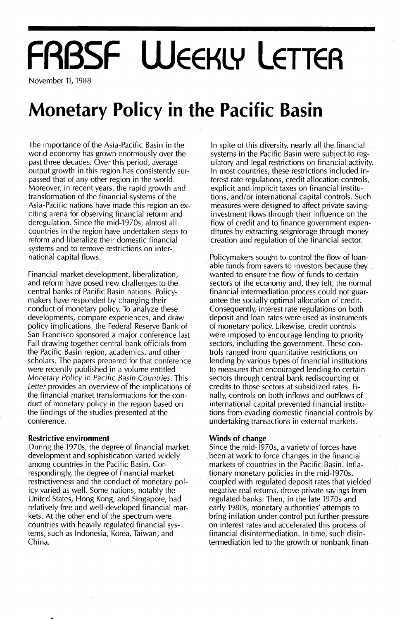# **FRBSF WEEKLY LETTER**

November 11, 1988

## **Monetary Policy in the Pacific Basin**

The importance of the Asia-Pacific Basin in the world economy has grown enormously over the past three decades. Over this period, average output growth in this region has consistently surpassed that of any other region in the world. Moreover, in recent years, the rapid growth and transformation of the financial systems of the Asia-Pacific nations have made this region an exciting arena for observing financial reform and deregulation. Since the mid-1970s, almost all countries in the region have undertaken steps to reform and liberalize their domestic financial systems and to remove restrictions on international capital flows.

Financial market development, liberalization, and reform have posed new challenges to the central banks of Pacific Basin nations. Policymakers have responded by changing their conduct of monetary policy. To analyze these developments, compare experiences, and draw policy implications, the Federal Reserve Bank of San Francisco sponsored a major conference last Fall drawing together central bank officials from the Pacific Basin region, academics, and other scholars. The papers prepared for that conference were recently published in a volume entitled Monetary Policy in Pacific Basin Countries. This Letter provides an overview of the implications of the financial market transformations for the conduct of monetary policy in the region based on the findings of the studies presented at the conference.

### **Restrictive environment**

During the 1970s, the degree of financial market development and sophistication varied widely among countries in the Pacific Basin. Correspondingly, the degree of financial market restrictiveness and the conduct of monetary policy varied as well. Some nations, notably the United States, Hong Kong, and Singapore, had relatively free and well~developed financial markets. At the other end of the spectrum were countries with heavily regulated financial systems, such as Indonesia, Korea, Taiwan, and China.

In spite of this diversity, nearly all the financial systems in the Pacific Basin were subject to regulatory and legal restrictions on financial activity. In most countries, these restrictions included interest rate regulations, credit allocation controls, explicit and implicit taxes on financial institutions, and/or international capital controls. Such measures were designed to affect private savinginvestment flows through their influence on the flow of credit and to finance government expenditures by extracting seigniorage through money creation and regulation of the financial sector.

Policymakers sought to control the flow of loanable funds from savers to investors because they wanted to ensure the flow of funds to certain sectors of the economy and, they felt, the normal financial intermediation process could not guarantee the socially optimal allocation of credit. Consequently, interest rate regulations on both deposit and loan rates were used as instruments of monetary policy. Likewise, credit controls were imposed to encourage lending to priority sectors, including the government. These controls ranged from quantitative restrictions on lending by various types of financial institutions to measures that encouraged lending to certain sectors through central bank rediscounting of credits to those sectors at subsidized rates. Finally, controls on both inflows and outflows of international capital prevented financial institutions from evading domestic financial controls by undertaking transactions in external markets.

### **Winds of change**

Since the mid-1970s, a variety of forces have been at work to force changes in the financial markets of countries in the Pacific Basin. Inflationary monetary policies in the mid-1970s, coupled with regulated deposit rates that yielded negative real returns, drove private savings from regulated banks. Then, in the late 1970s and early 1980s, monetary authorities' attempts to bring inflation under control put further pressure on interest rates and accelerated this process of financial disintermediation. In time, such disintermediation led to the growth of nonbank finan-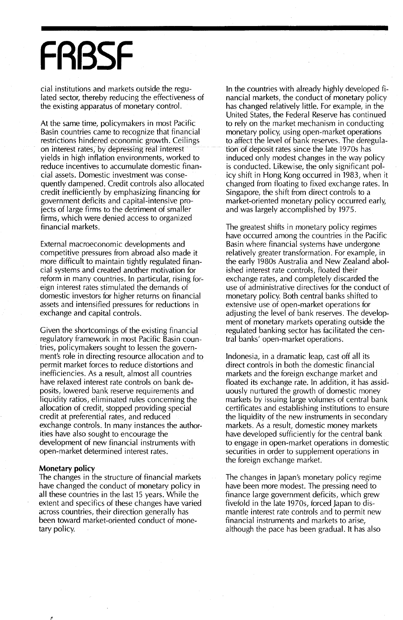## **FRBSF**

cial institutions and markets outside the regulated sector, thereby reducing the effectiveness of the existing apparatus of monetary control.

At the same time, policymakers in most Pacific Basin countries came to recognize that financial restrictions hindered economic growth. Ceilings on interest rates, by depressing real interest yields in high inflation environments, worked to reduce incentives to accumulate domestic financial assets. Domestic investment was consequently dampened. Credit controls also allocated credit inefficiently by emphasizing financing for government deficits and capital-intensive projects of large firms to the detriment of smaller firms, which were denied access to organized financial markets.

External macroeconomic developments and competitive pressures from abroad also made it more difficult to maintain tightly regulated financial systems and created another motivation for reform in many countries. In particular, rising foreign interest rates stimulated the demands of domestic investors for higher returns on financial assets and intensified pressures for reductions in exchange and capital controls.

Given the shortcomings of the existing financial regulatory framework in most Pacific Basin countries, policymakers sought to lessen the government's role in directing resource allocation and to permit market forces to reduce distortions and inefficiencies. As a result, almost all countries have relaxed interest rate controls on bank deposits, lowered bank reserve requirements and liquidity ratios, eliminated rules concerning the allocation of credit, stopped providing special credit at preferential rates, and reduced exchange controls. In many instances the authorities have also sought to encourage the development of new financial instruments with open-market determined interest rates.

### **Monetary policy**

The changes in the structure of financial markets have changed the conduct of monetary policy in all these countries in the last 15 years. While the extent and specifics of these changes have varied across countries, their direction generally has been toward market-oriented conduct of monetary policy.

In the countries with already highly developed financial markets, the conduct of monetary policy has changed relatively little. For example, in the United States, the Federal Reserve has continued to rely on the market mechanism in conducting monetary policy, using open-market operations to affect the level of bank reserves. The deregulation of deposit rates since the late 1970s has induced only modest changes in the way policy is conducted. Likewise, the only significant policy shift in Hong Kong occurred in 1983, when it changed from floating to fixed exchange rates. In Singapore, the shift from direct controls to a market-oriented monetary policy occurred early, and was largely accomplished by 1975.

The greatest shifts in monetary policy regimes have occurred among the countries in the Pacific Basin where financial systems have undergone relatively greater transformation. For example, in the early 1980s Australia and New Zealand abolished interest rate controls, floated their exchange rates, and completely discarded the use of administrative directives for the conduct of monetary policy. Both central banks shifted to extensive use of open-market operations for adjusting the level of bank reserves. The development of monetary markets operating outside the regulated banking sector has facilitated the central banks' open-market operations.

Indonesia, in a dramatic leap, cast off all its direct controls in both the domestic financial markets and the foreign exchange market and floated its exchange rate. In addition, it has assiduously nurtured the growth of domestic money markets by issuing large volumes of central bank certificates and establishing institutions to ensure the liquidity of the new instruments in secondary markets. As a result, domestic money markets have developed sufficiently for the central bank to engage in open-market operations in domestic securities in order to supplement operations in the foreign exchange market.

The changes in Japan's monetary policy regime have been more modest. The pressing need to finance large government deficits, which grew fivefold in the late 1970s, forced Japan to dismantle interest rate controls and to permit new financial instruments and markets to arise, although the pace has been gradual. It has also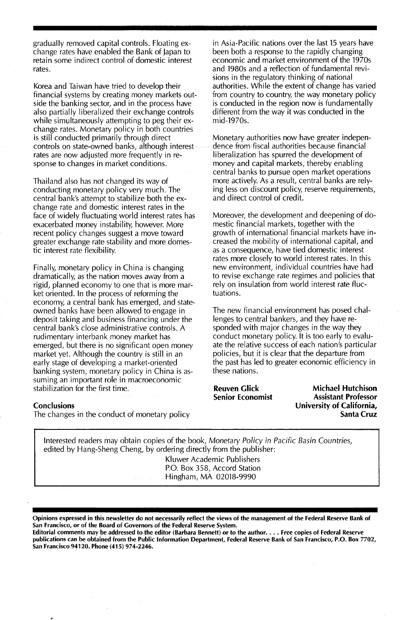gradually removed capital controls. Floating exchange rates have enabled the Bank of Japan to retain some indirect control of domestic interest rates.

Korea and Taiwan have tried to develop their financial systems by creating money markets outside the banking sector, and in the process have also partially liberalized their exchange controls while simultaneously attempting to peg their exchange rates. Monetary policy in both countries is still conducted primarily through direct controls on state-owned banks, although interest rates are now adjusted more frequently in response to changes in market conditions.

Thailand also has not changed its way of conducting monetary policy very much. The central bank's attempt to stabilize both the exchange rate and domestic interest rates in the face of widely fluctuating world interest rates has exacerbated money instability, however. More recent policy changes suggest a move toward greater exchange rate stability and more domestic interest rate flexibility.

Finally, monetary policy in China is changing dramatically, as the nation moves away from a rigid, planned economy to one that is more market oriented. In the process of reforming the economy, a central bank has emerged, and stateowned banks have been allowed to engage in deposit taking and business financing under the central bank's close administrative controls. A rudimentary interbank money market has emerged, but there is no significant open money market yet. Although the country is still in an early stage of developing a market-oriented banking system, monetary policy in China is assuming an important role in macroeconomic stabilization for the first time.

### **Conclusions**

The changes in the conduct of monetary policy

in Asia-Pacific nations over the last 15 years have been both a response to the rapidly changing economic and market environment of the 1970s and 1980s and a reflection of fundamental revisions in the regulatory thinking of national authorities. While the extent of change has varied from country to country, the way monetary policy is conducted in the region now is fundamentally different from the way it was conducted in the mid-1970s.

Monetary authorities now have greater independence from fiscal authorities because financial liberalization has spurred the development of money and capital markets, thereby enabling central banks to pursue open market operations more actively. As a result, central banks are relying less on discount policy, reserve requirements, and direct control of credit.

Moreover, the development and deepening of domestic financial markets, together with the growth of international financial markets have increased the mobility of international capital, and as a consequence, have tied domestic interest rates more closely to world interest rates. In this new environment, individual countries have had to revise exchange rate regimes and policies that rely on insulation from world interest rate fluctuations.

The new financial environment has posed challenges to central bankers, and they have responded with major changes in the way they conduct monetary policy. It is too early to evaluate the relative success of each nation's particular policies, but it is clear that the departure from the past has led to greater economic efficiency in these nations.

Reuven Glick Senior Economist

Michael Hutchison Assistant Professor University of California, Santa Cruz

Interested readers may obtain copies of the book, Monetary Policy in Pacific Basin Countries, edited by Hang-Sheng Cheng, by ordering directly from the publisher: Kluwer Academic Publishers P.O. Box 358, Accord Station Hingham, MA 02018-9990

Opinions expressed in this newsletter do not necessarily reflect the views of the management of the Federal Reserve Bank of San Francisco, or of the Board of Governors of the Federal Reserve System.

Editorial comments may be addressed to the editor (Barbara Bennett) or to the author.... Free copies of Federal Reserve publications can be obtained from the Public Information Department, Federal Reserve Bank of San Francisco, P.O. Box 7702, San Francisco 94120. Phone (415) 974-2246.